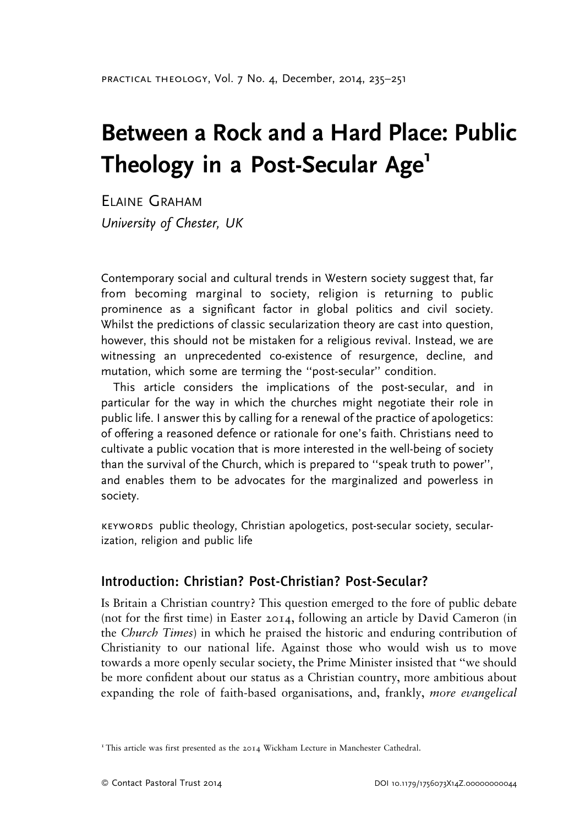# Between a Rock and a Hard Place: Public Theology in a Post-Secular Age<sup>1</sup>

ELAINE GRAHAM University of Chester, UK

Contemporary social and cultural trends in Western society suggest that, far from becoming marginal to society, religion is returning to public prominence as a significant factor in global politics and civil society. Whilst the predictions of classic secularization theory are cast into question, however, this should not be mistaken for a religious revival. Instead, we are witnessing an unprecedented co-existence of resurgence, decline, and mutation, which some are terming the ''post-secular'' condition.

This article considers the implications of the post-secular, and in particular for the way in which the churches might negotiate their role in public life. I answer this by calling for a renewal of the practice of apologetics: of offering a reasoned defence or rationale for one's faith. Christians need to cultivate a public vocation that is more interested in the well-being of society than the survival of the Church, which is prepared to ''speak truth to power'', and enables them to be advocates for the marginalized and powerless in society.

keywords public theology, Christian apologetics, post-secular society, secularization, religion and public life

# Introduction: Christian? Post-Christian? Post-Secular?

Is Britain a Christian country? This question emerged to the fore of public debate (not for the first time) in Easter 2014, following an article by David Cameron (in the Church Times) in which he praised the historic and enduring contribution of Christianity to our national life. Against those who would wish us to move towards a more openly secular society, the Prime Minister insisted that ''we should be more confident about our status as a Christian country, more ambitious about expanding the role of faith-based organisations, and, frankly, more evangelical

 $1$ This article was first presented as the 2014 Wickham Lecture in Manchester Cathedral.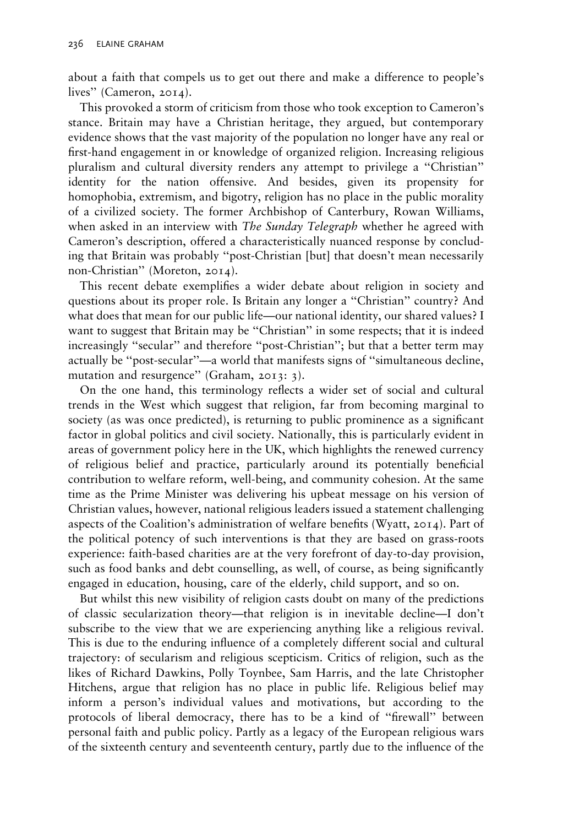about a faith that compels us to get out there and make a difference to people's lives'' (Cameron, 2014).

This provoked a storm of criticism from those who took exception to Cameron's stance. Britain may have a Christian heritage, they argued, but contemporary evidence shows that the vast majority of the population no longer have any real or first-hand engagement in or knowledge of organized religion. Increasing religious pluralism and cultural diversity renders any attempt to privilege a ''Christian'' identity for the nation offensive. And besides, given its propensity for homophobia, extremism, and bigotry, religion has no place in the public morality of a civilized society. The former Archbishop of Canterbury, Rowan Williams, when asked in an interview with *The Sunday Telegraph* whether he agreed with Cameron's description, offered a characteristically nuanced response by concluding that Britain was probably ''post-Christian [but] that doesn't mean necessarily non-Christian'' (Moreton, 2014).

This recent debate exemplifies a wider debate about religion in society and questions about its proper role. Is Britain any longer a ''Christian'' country? And what does that mean for our public life—our national identity, our shared values? I want to suggest that Britain may be "Christian" in some respects; that it is indeed increasingly ''secular'' and therefore ''post-Christian''; but that a better term may actually be ''post-secular''—a world that manifests signs of ''simultaneous decline, mutation and resurgence" (Graham, 2013: 3).

On the one hand, this terminology reflects a wider set of social and cultural trends in the West which suggest that religion, far from becoming marginal to society (as was once predicted), is returning to public prominence as a significant factor in global politics and civil society. Nationally, this is particularly evident in areas of government policy here in the UK, which highlights the renewed currency of religious belief and practice, particularly around its potentially beneficial contribution to welfare reform, well-being, and community cohesion. At the same time as the Prime Minister was delivering his upbeat message on his version of Christian values, however, national religious leaders issued a statement challenging aspects of the Coalition's administration of welfare benefits (Wyatt, 2014). Part of the political potency of such interventions is that they are based on grass-roots experience: faith-based charities are at the very forefront of day-to-day provision, such as food banks and debt counselling, as well, of course, as being significantly engaged in education, housing, care of the elderly, child support, and so on.

But whilst this new visibility of religion casts doubt on many of the predictions of classic secularization theory—that religion is in inevitable decline—I don't subscribe to the view that we are experiencing anything like a religious revival. This is due to the enduring influence of a completely different social and cultural trajectory: of secularism and religious scepticism. Critics of religion, such as the likes of Richard Dawkins, Polly Toynbee, Sam Harris, and the late Christopher Hitchens, argue that religion has no place in public life. Religious belief may inform a person's individual values and motivations, but according to the protocols of liberal democracy, there has to be a kind of ''firewall'' between personal faith and public policy. Partly as a legacy of the European religious wars of the sixteenth century and seventeenth century, partly due to the influence of the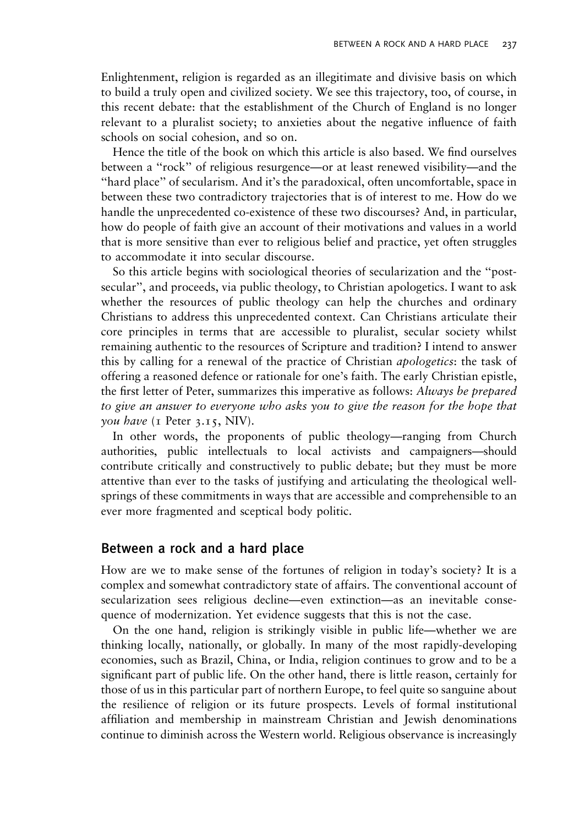Enlightenment, religion is regarded as an illegitimate and divisive basis on which to build a truly open and civilized society. We see this trajectory, too, of course, in this recent debate: that the establishment of the Church of England is no longer relevant to a pluralist society; to anxieties about the negative influence of faith schools on social cohesion, and so on.

Hence the title of the book on which this article is also based. We find ourselves between a ''rock'' of religious resurgence—or at least renewed visibility—and the ''hard place'' of secularism. And it's the paradoxical, often uncomfortable, space in between these two contradictory trajectories that is of interest to me. How do we handle the unprecedented co-existence of these two discourses? And, in particular, how do people of faith give an account of their motivations and values in a world that is more sensitive than ever to religious belief and practice, yet often struggles to accommodate it into secular discourse.

So this article begins with sociological theories of secularization and the ''postsecular'', and proceeds, via public theology, to Christian apologetics. I want to ask whether the resources of public theology can help the churches and ordinary Christians to address this unprecedented context. Can Christians articulate their core principles in terms that are accessible to pluralist, secular society whilst remaining authentic to the resources of Scripture and tradition? I intend to answer this by calling for a renewal of the practice of Christian apologetics: the task of offering a reasoned defence or rationale for one's faith. The early Christian epistle, the first letter of Peter, summarizes this imperative as follows: Always be prepared to give an answer to everyone who asks you to give the reason for the hope that you have  $(1$  Peter 3.15, NIV).

In other words, the proponents of public theology—ranging from Church authorities, public intellectuals to local activists and campaigners—should contribute critically and constructively to public debate; but they must be more attentive than ever to the tasks of justifying and articulating the theological wellsprings of these commitments in ways that are accessible and comprehensible to an ever more fragmented and sceptical body politic.

#### Between a rock and a hard place

How are we to make sense of the fortunes of religion in today's society? It is a complex and somewhat contradictory state of affairs. The conventional account of secularization sees religious decline—even extinction—as an inevitable consequence of modernization. Yet evidence suggests that this is not the case.

On the one hand, religion is strikingly visible in public life—whether we are thinking locally, nationally, or globally. In many of the most rapidly-developing economies, such as Brazil, China, or India, religion continues to grow and to be a significant part of public life. On the other hand, there is little reason, certainly for those of us in this particular part of northern Europe, to feel quite so sanguine about the resilience of religion or its future prospects. Levels of formal institutional affiliation and membership in mainstream Christian and Jewish denominations continue to diminish across the Western world. Religious observance is increasingly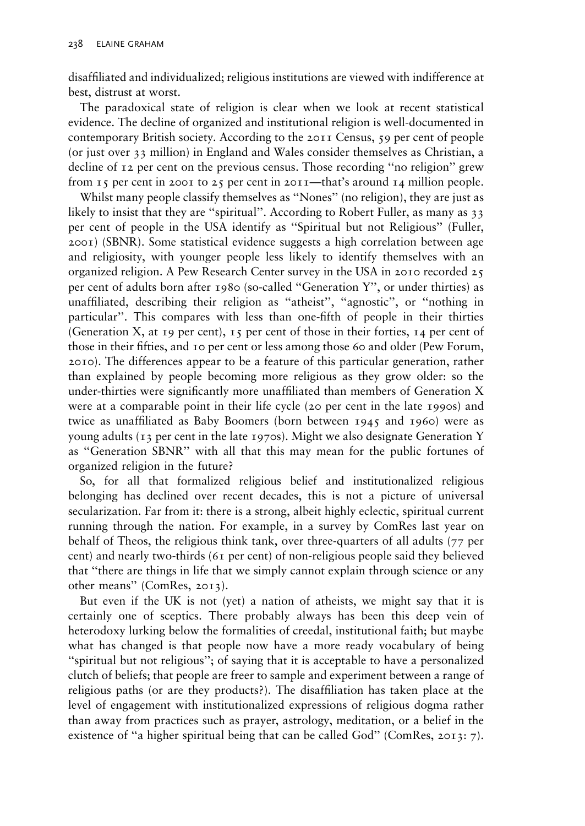disaffiliated and individualized; religious institutions are viewed with indifference at best, distrust at worst.

The paradoxical state of religion is clear when we look at recent statistical evidence. The decline of organized and institutional religion is well-documented in contemporary British society. According to the 2011 Census, 59 per cent of people (or just over 33 million) in England and Wales consider themselves as Christian, a decline of 12 per cent on the previous census. Those recording ''no religion'' grew from  $\tau$  per cent in 2001 to 25 per cent in 2011—that's around  $\tau$ 4 million people.

Whilst many people classify themselves as ''Nones'' (no religion), they are just as likely to insist that they are "spiritual". According to Robert Fuller, as many as 33 per cent of people in the USA identify as ''Spiritual but not Religious'' (Fuller, 2001) (SBNR). Some statistical evidence suggests a high correlation between age and religiosity, with younger people less likely to identify themselves with an organized religion. A Pew Research Center survey in the USA in 2010 recorded 25 per cent of adults born after 1980 (so-called ''Generation Y'', or under thirties) as unaffiliated, describing their religion as ''atheist'', ''agnostic'', or ''nothing in particular''. This compares with less than one-fifth of people in their thirties (Generation X, at 19 per cent), 15 per cent of those in their forties, 14 per cent of those in their fifties, and 10 per cent or less among those 60 and older (Pew Forum, 2010). The differences appear to be a feature of this particular generation, rather than explained by people becoming more religious as they grow older: so the under-thirties were significantly more unaffiliated than members of Generation X were at a comparable point in their life cycle (20 per cent in the late 1990s) and twice as unaffiliated as Baby Boomers (born between 1945 and 1960) were as young adults ( $13$  per cent in the late 1970s). Might we also designate Generation Y as ''Generation SBNR'' with all that this may mean for the public fortunes of organized religion in the future?

So, for all that formalized religious belief and institutionalized religious belonging has declined over recent decades, this is not a picture of universal secularization. Far from it: there is a strong, albeit highly eclectic, spiritual current running through the nation. For example, in a survey by ComRes last year on behalf of Theos, the religious think tank, over three-quarters of all adults (77 per cent) and nearly two-thirds (61 per cent) of non-religious people said they believed that ''there are things in life that we simply cannot explain through science or any other means'' (ComRes, 2013).

But even if the UK is not (yet) a nation of atheists, we might say that it is certainly one of sceptics. There probably always has been this deep vein of heterodoxy lurking below the formalities of creedal, institutional faith; but maybe what has changed is that people now have a more ready vocabulary of being ''spiritual but not religious''; of saying that it is acceptable to have a personalized clutch of beliefs; that people are freer to sample and experiment between a range of religious paths (or are they products?). The disaffiliation has taken place at the level of engagement with institutionalized expressions of religious dogma rather than away from practices such as prayer, astrology, meditation, or a belief in the existence of "a higher spiritual being that can be called God" (ComRes, 2013: 7).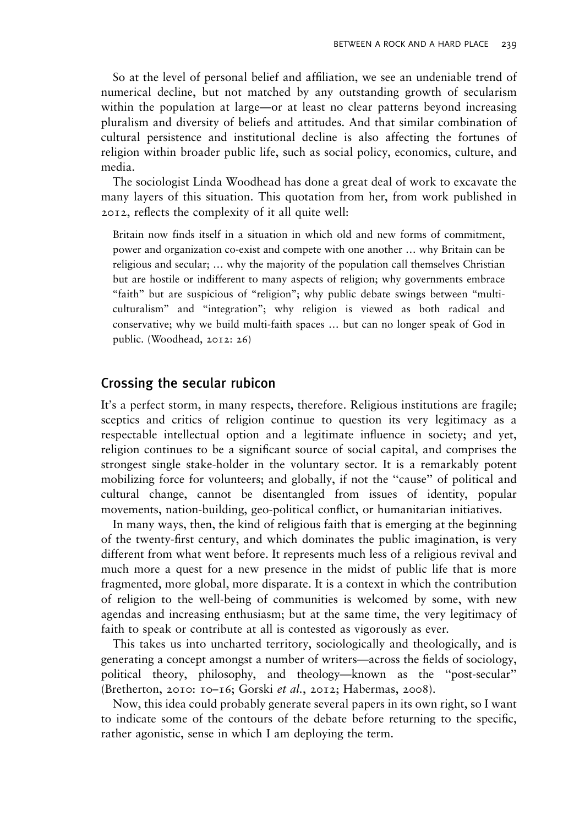So at the level of personal belief and affiliation, we see an undeniable trend of numerical decline, but not matched by any outstanding growth of secularism within the population at large—or at least no clear patterns beyond increasing pluralism and diversity of beliefs and attitudes. And that similar combination of cultural persistence and institutional decline is also affecting the fortunes of religion within broader public life, such as social policy, economics, culture, and media.

The sociologist Linda Woodhead has done a great deal of work to excavate the many layers of this situation. This quotation from her, from work published in 2012, reflects the complexity of it all quite well:

Britain now finds itself in a situation in which old and new forms of commitment, power and organization co-exist and compete with one another … why Britain can be religious and secular; … why the majority of the population call themselves Christian but are hostile or indifferent to many aspects of religion; why governments embrace "faith" but are suspicious of "religion"; why public debate swings between "multiculturalism'' and ''integration''; why religion is viewed as both radical and conservative; why we build multi-faith spaces … but can no longer speak of God in public. (Woodhead, 2012: 26)

#### Crossing the secular rubicon

It's a perfect storm, in many respects, therefore. Religious institutions are fragile; sceptics and critics of religion continue to question its very legitimacy as a respectable intellectual option and a legitimate influence in society; and yet, religion continues to be a significant source of social capital, and comprises the strongest single stake-holder in the voluntary sector. It is a remarkably potent mobilizing force for volunteers; and globally, if not the "cause" of political and cultural change, cannot be disentangled from issues of identity, popular movements, nation-building, geo-political conflict, or humanitarian initiatives.

In many ways, then, the kind of religious faith that is emerging at the beginning of the twenty-first century, and which dominates the public imagination, is very different from what went before. It represents much less of a religious revival and much more a quest for a new presence in the midst of public life that is more fragmented, more global, more disparate. It is a context in which the contribution of religion to the well-being of communities is welcomed by some, with new agendas and increasing enthusiasm; but at the same time, the very legitimacy of faith to speak or contribute at all is contested as vigorously as ever.

This takes us into uncharted territory, sociologically and theologically, and is generating a concept amongst a number of writers—across the fields of sociology, political theory, philosophy, and theology—known as the ''post-secular'' (Bretherton, 2010: 10–16; Gorski et al., 2012; Habermas, 2008).

Now, this idea could probably generate several papers in its own right, so I want to indicate some of the contours of the debate before returning to the specific, rather agonistic, sense in which I am deploying the term.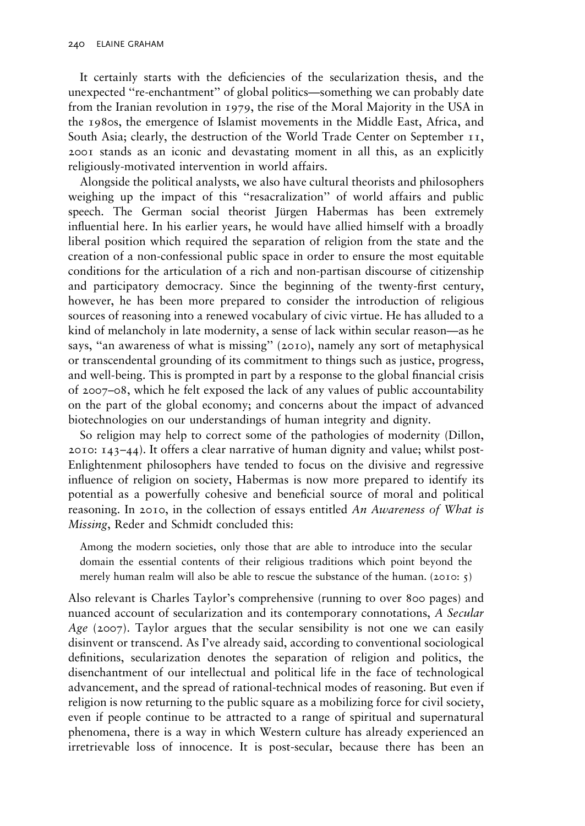It certainly starts with the deficiencies of the secularization thesis, and the unexpected ''re-enchantment'' of global politics—something we can probably date from the Iranian revolution in 1979, the rise of the Moral Majority in the USA in the 1980s, the emergence of Islamist movements in the Middle East, Africa, and South Asia; clearly, the destruction of the World Trade Center on September 11, 2001 stands as an iconic and devastating moment in all this, as an explicitly religiously-motivated intervention in world affairs.

Alongside the political analysts, we also have cultural theorists and philosophers weighing up the impact of this ''resacralization'' of world affairs and public speech. The German social theorist Jürgen Habermas has been extremely influential here. In his earlier years, he would have allied himself with a broadly liberal position which required the separation of religion from the state and the creation of a non-confessional public space in order to ensure the most equitable conditions for the articulation of a rich and non-partisan discourse of citizenship and participatory democracy. Since the beginning of the twenty-first century, however, he has been more prepared to consider the introduction of religious sources of reasoning into a renewed vocabulary of civic virtue. He has alluded to a kind of melancholy in late modernity, a sense of lack within secular reason—as he says, "an awareness of what is missing" (2010), namely any sort of metaphysical or transcendental grounding of its commitment to things such as justice, progress, and well-being. This is prompted in part by a response to the global financial crisis of 2007–08, which he felt exposed the lack of any values of public accountability on the part of the global economy; and concerns about the impact of advanced biotechnologies on our understandings of human integrity and dignity.

So religion may help to correct some of the pathologies of modernity (Dillon, 2010: 143–44). It offers a clear narrative of human dignity and value; whilst post-Enlightenment philosophers have tended to focus on the divisive and regressive influence of religion on society, Habermas is now more prepared to identify its potential as a powerfully cohesive and beneficial source of moral and political reasoning. In 2010, in the collection of essays entitled An Awareness of What is Missing, Reder and Schmidt concluded this:

Among the modern societies, only those that are able to introduce into the secular domain the essential contents of their religious traditions which point beyond the merely human realm will also be able to rescue the substance of the human. (2010: 5)

Also relevant is Charles Taylor's comprehensive (running to over 800 pages) and nuanced account of secularization and its contemporary connotations, A Secular Age (2007). Taylor argues that the secular sensibility is not one we can easily disinvent or transcend. As I've already said, according to conventional sociological definitions, secularization denotes the separation of religion and politics, the disenchantment of our intellectual and political life in the face of technological advancement, and the spread of rational-technical modes of reasoning. But even if religion is now returning to the public square as a mobilizing force for civil society, even if people continue to be attracted to a range of spiritual and supernatural phenomena, there is a way in which Western culture has already experienced an irretrievable loss of innocence. It is post-secular, because there has been an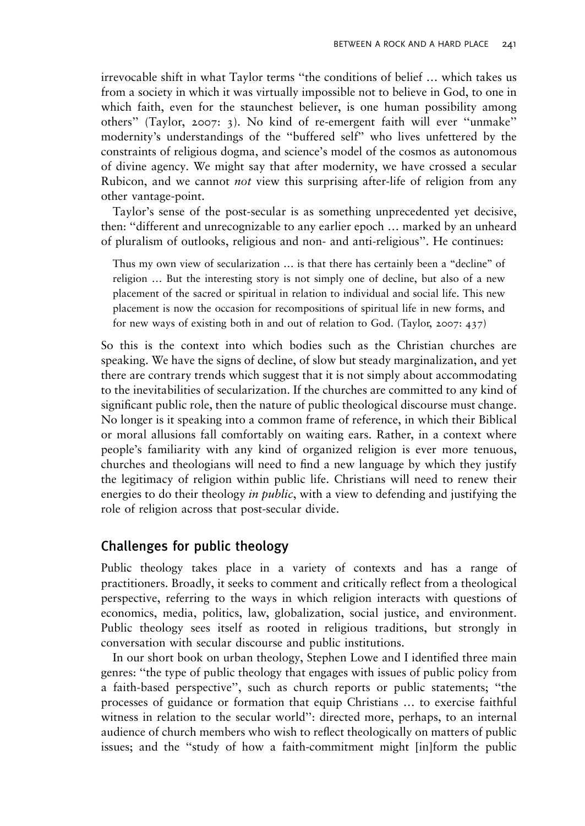irrevocable shift in what Taylor terms ''the conditions of belief … which takes us from a society in which it was virtually impossible not to believe in God, to one in which faith, even for the staunchest believer, is one human possibility among others'' (Taylor, 2007: 3). No kind of re-emergent faith will ever ''unmake'' modernity's understandings of the ''buffered self'' who lives unfettered by the constraints of religious dogma, and science's model of the cosmos as autonomous of divine agency. We might say that after modernity, we have crossed a secular Rubicon, and we cannot not view this surprising after-life of religion from any other vantage-point.

Taylor's sense of the post-secular is as something unprecedented yet decisive, then: ''different and unrecognizable to any earlier epoch … marked by an unheard of pluralism of outlooks, religious and non- and anti-religious''. He continues:

Thus my own view of secularization … is that there has certainly been a ''decline'' of religion … But the interesting story is not simply one of decline, but also of a new placement of the sacred or spiritual in relation to individual and social life. This new placement is now the occasion for recompositions of spiritual life in new forms, and for new ways of existing both in and out of relation to God. (Taylor, 2007: 437)

So this is the context into which bodies such as the Christian churches are speaking. We have the signs of decline, of slow but steady marginalization, and yet there are contrary trends which suggest that it is not simply about accommodating to the inevitabilities of secularization. If the churches are committed to any kind of significant public role, then the nature of public theological discourse must change. No longer is it speaking into a common frame of reference, in which their Biblical or moral allusions fall comfortably on waiting ears. Rather, in a context where people's familiarity with any kind of organized religion is ever more tenuous, churches and theologians will need to find a new language by which they justify the legitimacy of religion within public life. Christians will need to renew their energies to do their theology *in public*, with a view to defending and justifying the role of religion across that post-secular divide.

# Challenges for public theology

Public theology takes place in a variety of contexts and has a range of practitioners. Broadly, it seeks to comment and critically reflect from a theological perspective, referring to the ways in which religion interacts with questions of economics, media, politics, law, globalization, social justice, and environment. Public theology sees itself as rooted in religious traditions, but strongly in conversation with secular discourse and public institutions.

In our short book on urban theology, Stephen Lowe and I identified three main genres: ''the type of public theology that engages with issues of public policy from a faith-based perspective'', such as church reports or public statements; ''the processes of guidance or formation that equip Christians … to exercise faithful witness in relation to the secular world'': directed more, perhaps, to an internal audience of church members who wish to reflect theologically on matters of public issues; and the "study of how a faith-commitment might [in]form the public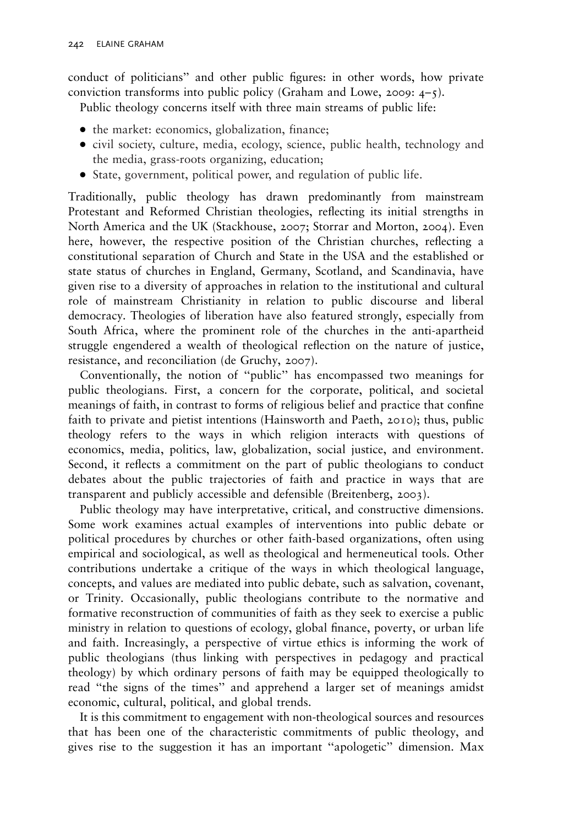conduct of politicians'' and other public figures: in other words, how private conviction transforms into public policy (Graham and Lowe, 2009: 4–5).

Public theology concerns itself with three main streams of public life:

- the market: economics, globalization, finance;
- civil society, culture, media, ecology, science, public health, technology and the media, grass-roots organizing, education;
- State, government, political power, and regulation of public life.

Traditionally, public theology has drawn predominantly from mainstream Protestant and Reformed Christian theologies, reflecting its initial strengths in North America and the UK (Stackhouse, 2007; Storrar and Morton, 2004). Even here, however, the respective position of the Christian churches, reflecting a constitutional separation of Church and State in the USA and the established or state status of churches in England, Germany, Scotland, and Scandinavia, have given rise to a diversity of approaches in relation to the institutional and cultural role of mainstream Christianity in relation to public discourse and liberal democracy. Theologies of liberation have also featured strongly, especially from South Africa, where the prominent role of the churches in the anti-apartheid struggle engendered a wealth of theological reflection on the nature of justice, resistance, and reconciliation (de Gruchy, 2007).

Conventionally, the notion of ''public'' has encompassed two meanings for public theologians. First, a concern for the corporate, political, and societal meanings of faith, in contrast to forms of religious belief and practice that confine faith to private and pietist intentions (Hainsworth and Paeth, 2010); thus, public theology refers to the ways in which religion interacts with questions of economics, media, politics, law, globalization, social justice, and environment. Second, it reflects a commitment on the part of public theologians to conduct debates about the public trajectories of faith and practice in ways that are transparent and publicly accessible and defensible (Breitenberg, 2003).

Public theology may have interpretative, critical, and constructive dimensions. Some work examines actual examples of interventions into public debate or political procedures by churches or other faith-based organizations, often using empirical and sociological, as well as theological and hermeneutical tools. Other contributions undertake a critique of the ways in which theological language, concepts, and values are mediated into public debate, such as salvation, covenant, or Trinity. Occasionally, public theologians contribute to the normative and formative reconstruction of communities of faith as they seek to exercise a public ministry in relation to questions of ecology, global finance, poverty, or urban life and faith. Increasingly, a perspective of virtue ethics is informing the work of public theologians (thus linking with perspectives in pedagogy and practical theology) by which ordinary persons of faith may be equipped theologically to read ''the signs of the times'' and apprehend a larger set of meanings amidst economic, cultural, political, and global trends.

It is this commitment to engagement with non-theological sources and resources that has been one of the characteristic commitments of public theology, and gives rise to the suggestion it has an important ''apologetic'' dimension. Max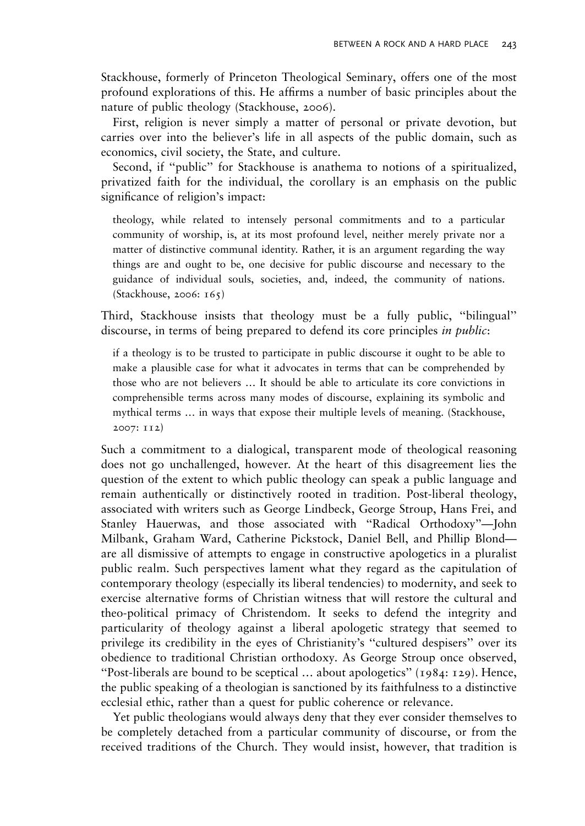Stackhouse, formerly of Princeton Theological Seminary, offers one of the most profound explorations of this. He affirms a number of basic principles about the nature of public theology (Stackhouse, 2006).

First, religion is never simply a matter of personal or private devotion, but carries over into the believer's life in all aspects of the public domain, such as economics, civil society, the State, and culture.

Second, if ''public'' for Stackhouse is anathema to notions of a spiritualized, privatized faith for the individual, the corollary is an emphasis on the public significance of religion's impact:

theology, while related to intensely personal commitments and to a particular community of worship, is, at its most profound level, neither merely private nor a matter of distinctive communal identity. Rather, it is an argument regarding the way things are and ought to be, one decisive for public discourse and necessary to the guidance of individual souls, societies, and, indeed, the community of nations. (Stackhouse, 2006: 165)

Third, Stackhouse insists that theology must be a fully public, ''bilingual'' discourse, in terms of being prepared to defend its core principles *in public*:

if a theology is to be trusted to participate in public discourse it ought to be able to make a plausible case for what it advocates in terms that can be comprehended by those who are not believers … It should be able to articulate its core convictions in comprehensible terms across many modes of discourse, explaining its symbolic and mythical terms … in ways that expose their multiple levels of meaning. (Stackhouse, 2007: 112)

Such a commitment to a dialogical, transparent mode of theological reasoning does not go unchallenged, however. At the heart of this disagreement lies the question of the extent to which public theology can speak a public language and remain authentically or distinctively rooted in tradition. Post-liberal theology, associated with writers such as George Lindbeck, George Stroup, Hans Frei, and Stanley Hauerwas, and those associated with ''Radical Orthodoxy''—John Milbank, Graham Ward, Catherine Pickstock, Daniel Bell, and Phillip Blond are all dismissive of attempts to engage in constructive apologetics in a pluralist public realm. Such perspectives lament what they regard as the capitulation of contemporary theology (especially its liberal tendencies) to modernity, and seek to exercise alternative forms of Christian witness that will restore the cultural and theo-political primacy of Christendom. It seeks to defend the integrity and particularity of theology against a liberal apologetic strategy that seemed to privilege its credibility in the eyes of Christianity's ''cultured despisers'' over its obedience to traditional Christian orthodoxy. As George Stroup once observed, "Post-liberals are bound to be sceptical  $\ldots$  about apologetics" (1984: 129). Hence, the public speaking of a theologian is sanctioned by its faithfulness to a distinctive ecclesial ethic, rather than a quest for public coherence or relevance.

Yet public theologians would always deny that they ever consider themselves to be completely detached from a particular community of discourse, or from the received traditions of the Church. They would insist, however, that tradition is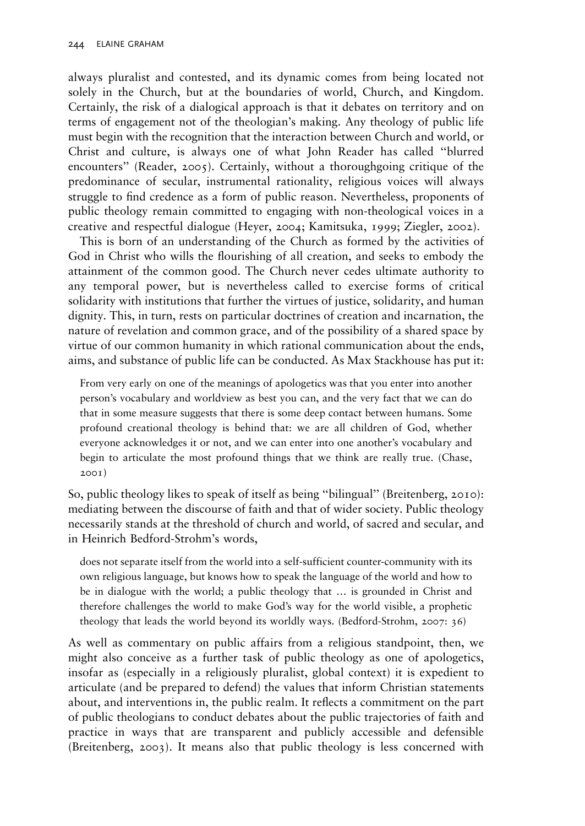always pluralist and contested, and its dynamic comes from being located not solely in the Church, but at the boundaries of world, Church, and Kingdom. Certainly, the risk of a dialogical approach is that it debates on territory and on terms of engagement not of the theologian's making. Any theology of public life must begin with the recognition that the interaction between Church and world, or Christ and culture, is always one of what John Reader has called ''blurred encounters'' (Reader, 2005). Certainly, without a thoroughgoing critique of the predominance of secular, instrumental rationality, religious voices will always struggle to find credence as a form of public reason. Nevertheless, proponents of public theology remain committed to engaging with non-theological voices in a creative and respectful dialogue (Heyer, 2004; Kamitsuka, 1999; Ziegler, 2002).

This is born of an understanding of the Church as formed by the activities of God in Christ who wills the flourishing of all creation, and seeks to embody the attainment of the common good. The Church never cedes ultimate authority to any temporal power, but is nevertheless called to exercise forms of critical solidarity with institutions that further the virtues of justice, solidarity, and human dignity. This, in turn, rests on particular doctrines of creation and incarnation, the nature of revelation and common grace, and of the possibility of a shared space by virtue of our common humanity in which rational communication about the ends, aims, and substance of public life can be conducted. As Max Stackhouse has put it:

From very early on one of the meanings of apologetics was that you enter into another person's vocabulary and worldview as best you can, and the very fact that we can do that in some measure suggests that there is some deep contact between humans. Some profound creational theology is behind that: we are all children of God, whether everyone acknowledges it or not, and we can enter into one another's vocabulary and begin to articulate the most profound things that we think are really true. (Chase, 2001)

So, public theology likes to speak of itself as being ''bilingual'' (Breitenberg, 2010): mediating between the discourse of faith and that of wider society. Public theology necessarily stands at the threshold of church and world, of sacred and secular, and in Heinrich Bedford-Strohm's words,

does not separate itself from the world into a self-sufficient counter-community with its own religious language, but knows how to speak the language of the world and how to be in dialogue with the world; a public theology that … is grounded in Christ and therefore challenges the world to make God's way for the world visible, a prophetic theology that leads the world beyond its worldly ways. (Bedford-Strohm, 2007: 36)

As well as commentary on public affairs from a religious standpoint, then, we might also conceive as a further task of public theology as one of apologetics, insofar as (especially in a religiously pluralist, global context) it is expedient to articulate (and be prepared to defend) the values that inform Christian statements about, and interventions in, the public realm. It reflects a commitment on the part of public theologians to conduct debates about the public trajectories of faith and practice in ways that are transparent and publicly accessible and defensible (Breitenberg, 2003). It means also that public theology is less concerned with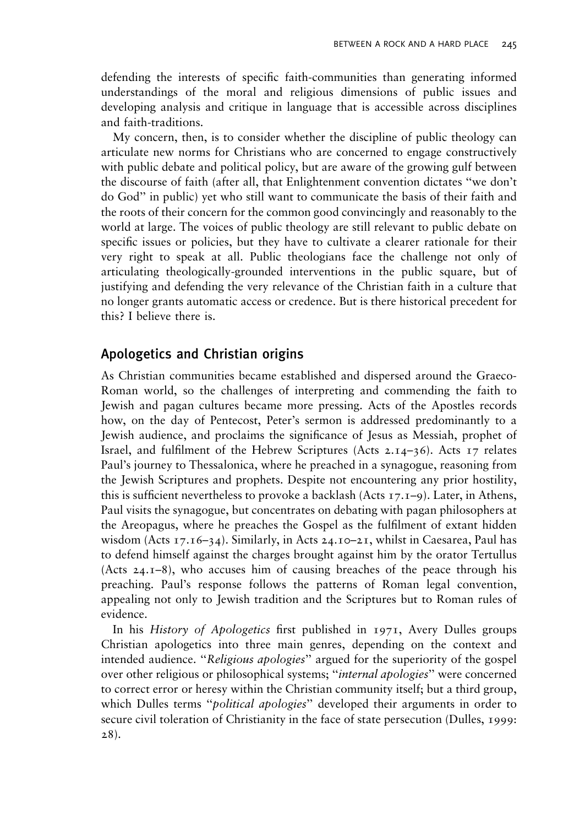defending the interests of specific faith-communities than generating informed understandings of the moral and religious dimensions of public issues and developing analysis and critique in language that is accessible across disciplines and faith-traditions.

My concern, then, is to consider whether the discipline of public theology can articulate new norms for Christians who are concerned to engage constructively with public debate and political policy, but are aware of the growing gulf between the discourse of faith (after all, that Enlightenment convention dictates ''we don't do God'' in public) yet who still want to communicate the basis of their faith and the roots of their concern for the common good convincingly and reasonably to the world at large. The voices of public theology are still relevant to public debate on specific issues or policies, but they have to cultivate a clearer rationale for their very right to speak at all. Public theologians face the challenge not only of articulating theologically-grounded interventions in the public square, but of justifying and defending the very relevance of the Christian faith in a culture that no longer grants automatic access or credence. But is there historical precedent for this? I believe there is.

## Apologetics and Christian origins

As Christian communities became established and dispersed around the Graeco-Roman world, so the challenges of interpreting and commending the faith to Jewish and pagan cultures became more pressing. Acts of the Apostles records how, on the day of Pentecost, Peter's sermon is addressed predominantly to a Jewish audience, and proclaims the significance of Jesus as Messiah, prophet of Israel, and fulfilment of the Hebrew Scriptures (Acts 2.14–36). Acts 17 relates Paul's journey to Thessalonica, where he preached in a synagogue, reasoning from the Jewish Scriptures and prophets. Despite not encountering any prior hostility, this is sufficient nevertheless to provoke a backlash (Acts 17.1–9). Later, in Athens, Paul visits the synagogue, but concentrates on debating with pagan philosophers at the Areopagus, where he preaches the Gospel as the fulfilment of extant hidden wisdom (Acts 17.16–34). Similarly, in Acts 24.10–21, whilst in Caesarea, Paul has to defend himself against the charges brought against him by the orator Tertullus (Acts  $24.1-8$ ), who accuses him of causing breaches of the peace through his preaching. Paul's response follows the patterns of Roman legal convention, appealing not only to Jewish tradition and the Scriptures but to Roman rules of evidence.

In his *History of Apologetics* first published in 1971, Avery Dulles groups Christian apologetics into three main genres, depending on the context and intended audience. "Religious apologies" argued for the superiority of the gospel over other religious or philosophical systems; ''internal apologies'' were concerned to correct error or heresy within the Christian community itself; but a third group, which Dulles terms "political apologies" developed their arguments in order to secure civil toleration of Christianity in the face of state persecution (Dulles, 1999: 28).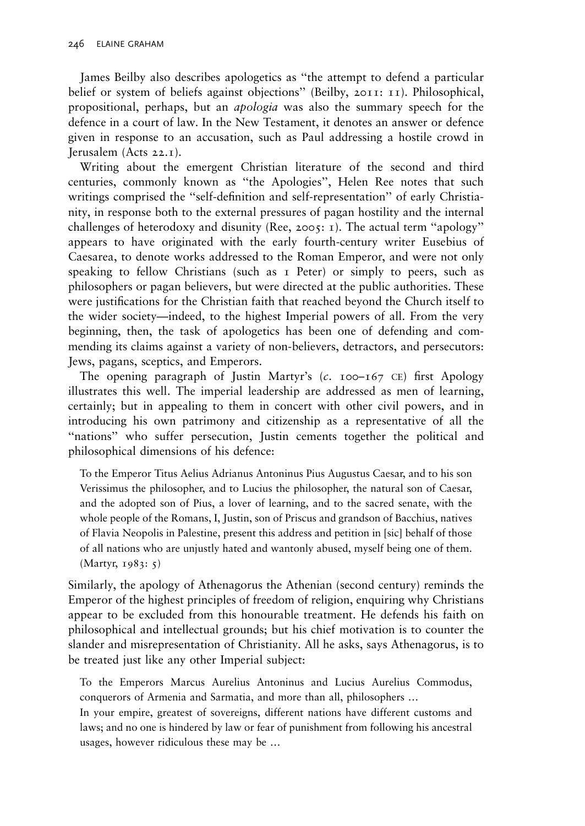James Beilby also describes apologetics as ''the attempt to defend a particular belief or system of beliefs against objections'' (Beilby, 2011: 11). Philosophical, propositional, perhaps, but an apologia was also the summary speech for the defence in a court of law. In the New Testament, it denotes an answer or defence given in response to an accusation, such as Paul addressing a hostile crowd in Jerusalem (Acts 22.1).

Writing about the emergent Christian literature of the second and third centuries, commonly known as ''the Apologies'', Helen Ree notes that such writings comprised the ''self-definition and self-representation'' of early Christianity, in response both to the external pressures of pagan hostility and the internal challenges of heterodoxy and disunity (Ree, 2005: 1). The actual term ''apology'' appears to have originated with the early fourth-century writer Eusebius of Caesarea, to denote works addressed to the Roman Emperor, and were not only speaking to fellow Christians (such as I Peter) or simply to peers, such as philosophers or pagan believers, but were directed at the public authorities. These were justifications for the Christian faith that reached beyond the Church itself to the wider society—indeed, to the highest Imperial powers of all. From the very beginning, then, the task of apologetics has been one of defending and commending its claims against a variety of non-believers, detractors, and persecutors: Jews, pagans, sceptics, and Emperors.

The opening paragraph of Justin Martyr's  $(c, 100-167 \text{ CE})$  first Apology illustrates this well. The imperial leadership are addressed as men of learning, certainly; but in appealing to them in concert with other civil powers, and in introducing his own patrimony and citizenship as a representative of all the ''nations'' who suffer persecution, Justin cements together the political and philosophical dimensions of his defence:

To the Emperor Titus Aelius Adrianus Antoninus Pius Augustus Caesar, and to his son Verissimus the philosopher, and to Lucius the philosopher, the natural son of Caesar, and the adopted son of Pius, a lover of learning, and to the sacred senate, with the whole people of the Romans, I, Justin, son of Priscus and grandson of Bacchius, natives of Flavia Neopolis in Palestine, present this address and petition in [sic] behalf of those of all nations who are unjustly hated and wantonly abused, myself being one of them. (Martyr, 1983: 5)

Similarly, the apology of Athenagorus the Athenian (second century) reminds the Emperor of the highest principles of freedom of religion, enquiring why Christians appear to be excluded from this honourable treatment. He defends his faith on philosophical and intellectual grounds; but his chief motivation is to counter the slander and misrepresentation of Christianity. All he asks, says Athenagorus, is to be treated just like any other Imperial subject:

To the Emperors Marcus Aurelius Antoninus and Lucius Aurelius Commodus, conquerors of Armenia and Sarmatia, and more than all, philosophers …

In your empire, greatest of sovereigns, different nations have different customs and laws; and no one is hindered by law or fear of punishment from following his ancestral usages, however ridiculous these may be …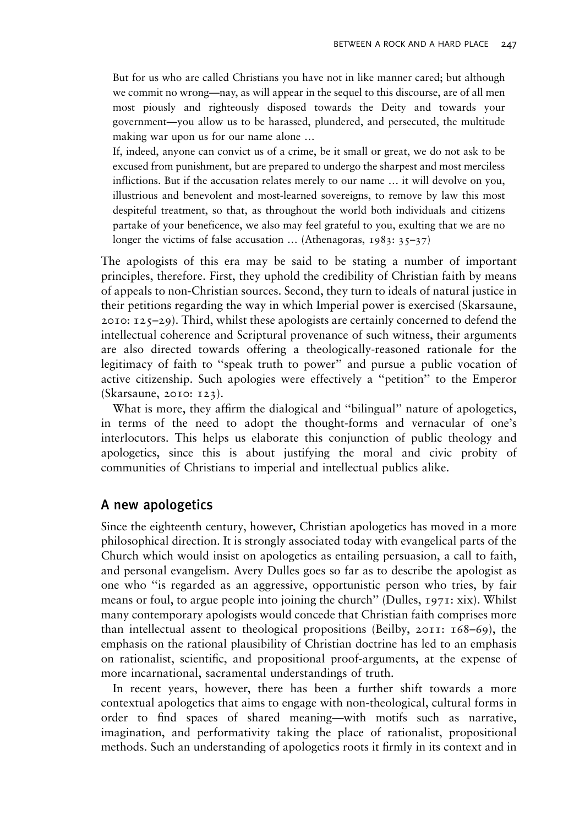But for us who are called Christians you have not in like manner cared; but although we commit no wrong—nay, as will appear in the sequel to this discourse, are of all men most piously and righteously disposed towards the Deity and towards your government—you allow us to be harassed, plundered, and persecuted, the multitude making war upon us for our name alone …

If, indeed, anyone can convict us of a crime, be it small or great, we do not ask to be excused from punishment, but are prepared to undergo the sharpest and most merciless inflictions. But if the accusation relates merely to our name … it will devolve on you, illustrious and benevolent and most-learned sovereigns, to remove by law this most despiteful treatment, so that, as throughout the world both individuals and citizens partake of your beneficence, we also may feel grateful to you, exulting that we are no longer the victims of false accusation … (Athenagoras, 1983: 35–37)

The apologists of this era may be said to be stating a number of important principles, therefore. First, they uphold the credibility of Christian faith by means of appeals to non-Christian sources. Second, they turn to ideals of natural justice in their petitions regarding the way in which Imperial power is exercised (Skarsaune, 2010: 125–29). Third, whilst these apologists are certainly concerned to defend the intellectual coherence and Scriptural provenance of such witness, their arguments are also directed towards offering a theologically-reasoned rationale for the legitimacy of faith to ''speak truth to power'' and pursue a public vocation of active citizenship. Such apologies were effectively a ''petition'' to the Emperor (Skarsaune, 2010: 123).

What is more, they affirm the dialogical and "bilingual" nature of apologetics, in terms of the need to adopt the thought-forms and vernacular of one's interlocutors. This helps us elaborate this conjunction of public theology and apologetics, since this is about justifying the moral and civic probity of communities of Christians to imperial and intellectual publics alike.

#### A new apologetics

Since the eighteenth century, however, Christian apologetics has moved in a more philosophical direction. It is strongly associated today with evangelical parts of the Church which would insist on apologetics as entailing persuasion, a call to faith, and personal evangelism. Avery Dulles goes so far as to describe the apologist as one who ''is regarded as an aggressive, opportunistic person who tries, by fair means or foul, to argue people into joining the church'' (Dulles, 1971: xix). Whilst many contemporary apologists would concede that Christian faith comprises more than intellectual assent to theological propositions (Beilby, 2011: 168–69), the emphasis on the rational plausibility of Christian doctrine has led to an emphasis on rationalist, scientific, and propositional proof-arguments, at the expense of more incarnational, sacramental understandings of truth.

In recent years, however, there has been a further shift towards a more contextual apologetics that aims to engage with non-theological, cultural forms in order to find spaces of shared meaning—with motifs such as narrative, imagination, and performativity taking the place of rationalist, propositional methods. Such an understanding of apologetics roots it firmly in its context and in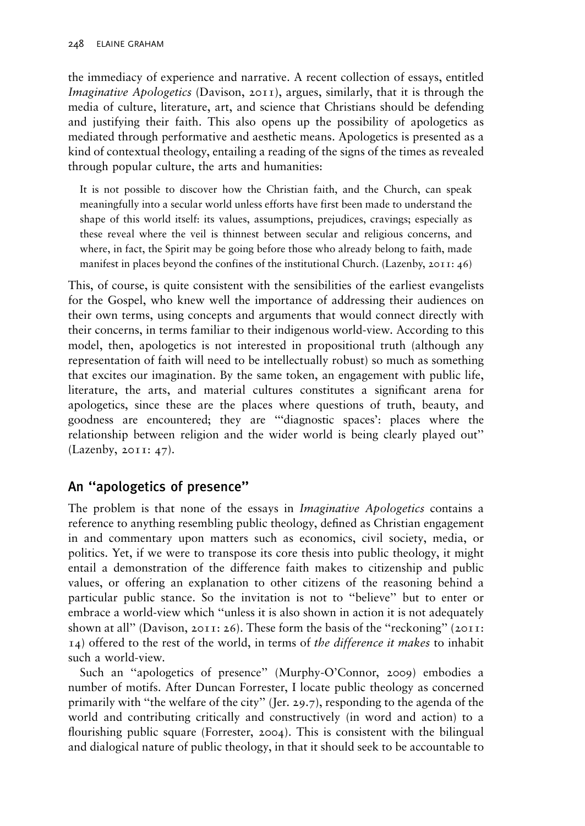the immediacy of experience and narrative. A recent collection of essays, entitled Imaginative Apologetics (Davison, 2011), argues, similarly, that it is through the media of culture, literature, art, and science that Christians should be defending and justifying their faith. This also opens up the possibility of apologetics as mediated through performative and aesthetic means. Apologetics is presented as a kind of contextual theology, entailing a reading of the signs of the times as revealed through popular culture, the arts and humanities:

It is not possible to discover how the Christian faith, and the Church, can speak meaningfully into a secular world unless efforts have first been made to understand the shape of this world itself: its values, assumptions, prejudices, cravings; especially as these reveal where the veil is thinnest between secular and religious concerns, and where, in fact, the Spirit may be going before those who already belong to faith, made manifest in places beyond the confines of the institutional Church. (Lazenby, 2011: 46)

This, of course, is quite consistent with the sensibilities of the earliest evangelists for the Gospel, who knew well the importance of addressing their audiences on their own terms, using concepts and arguments that would connect directly with their concerns, in terms familiar to their indigenous world-view. According to this model, then, apologetics is not interested in propositional truth (although any representation of faith will need to be intellectually robust) so much as something that excites our imagination. By the same token, an engagement with public life, literature, the arts, and material cultures constitutes a significant arena for apologetics, since these are the places where questions of truth, beauty, and goodness are encountered; they are '''diagnostic spaces': places where the relationship between religion and the wider world is being clearly played out'' (Lazenby, 2011: 47).

# An ''apologetics of presence''

The problem is that none of the essays in *Imaginative Apologetics* contains a reference to anything resembling public theology, defined as Christian engagement in and commentary upon matters such as economics, civil society, media, or politics. Yet, if we were to transpose its core thesis into public theology, it might entail a demonstration of the difference faith makes to citizenship and public values, or offering an explanation to other citizens of the reasoning behind a particular public stance. So the invitation is not to ''believe'' but to enter or embrace a world-view which ''unless it is also shown in action it is not adequately shown at all'' (Davison, 2011: 26). These form the basis of the ''reckoning'' (2011:  $14)$  offered to the rest of the world, in terms of the difference it makes to inhabit such a world-view.

Such an ''apologetics of presence'' (Murphy-O'Connor, 2009) embodies a number of motifs. After Duncan Forrester, I locate public theology as concerned primarily with "the welfare of the city" (Jer. 29.7), responding to the agenda of the world and contributing critically and constructively (in word and action) to a flourishing public square (Forrester, 2004). This is consistent with the bilingual and dialogical nature of public theology, in that it should seek to be accountable to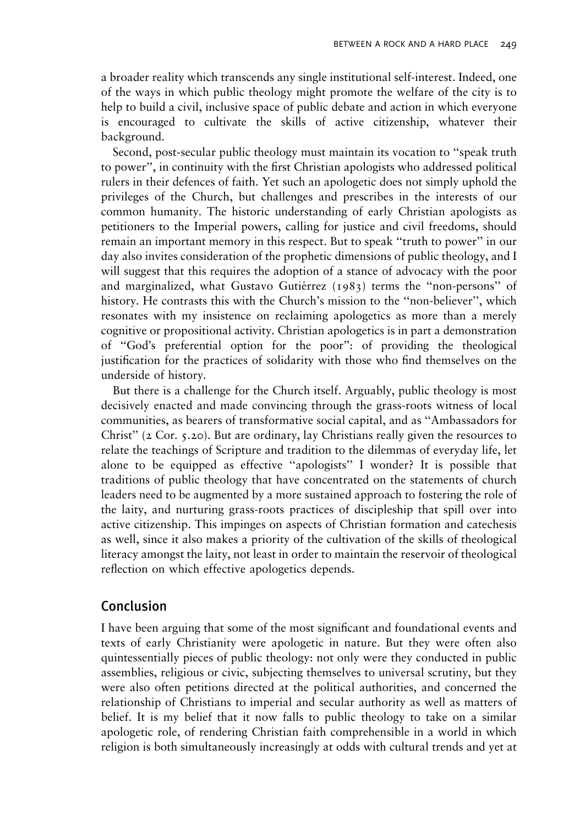a broader reality which transcends any single institutional self-interest. Indeed, one of the ways in which public theology might promote the welfare of the city is to help to build a civil, inclusive space of public debate and action in which everyone is encouraged to cultivate the skills of active citizenship, whatever their background.

Second, post-secular public theology must maintain its vocation to ''speak truth to power'', in continuity with the first Christian apologists who addressed political rulers in their defences of faith. Yet such an apologetic does not simply uphold the privileges of the Church, but challenges and prescribes in the interests of our common humanity. The historic understanding of early Christian apologists as petitioners to the Imperial powers, calling for justice and civil freedoms, should remain an important memory in this respect. But to speak ''truth to power'' in our day also invites consideration of the prophetic dimensions of public theology, and I will suggest that this requires the adoption of a stance of advocacy with the poor and marginalized, what Gustavo Gutiérrez  $(1983)$  terms the "non-persons" of history. He contrasts this with the Church's mission to the ''non-believer'', which resonates with my insistence on reclaiming apologetics as more than a merely cognitive or propositional activity. Christian apologetics is in part a demonstration of ''God's preferential option for the poor'': of providing the theological justification for the practices of solidarity with those who find themselves on the underside of history.

But there is a challenge for the Church itself. Arguably, public theology is most decisively enacted and made convincing through the grass-roots witness of local communities, as bearers of transformative social capital, and as ''Ambassadors for Christ'' (2 Cor. 5.20). But are ordinary, lay Christians really given the resources to relate the teachings of Scripture and tradition to the dilemmas of everyday life, let alone to be equipped as effective ''apologists'' I wonder? It is possible that traditions of public theology that have concentrated on the statements of church leaders need to be augmented by a more sustained approach to fostering the role of the laity, and nurturing grass-roots practices of discipleship that spill over into active citizenship. This impinges on aspects of Christian formation and catechesis as well, since it also makes a priority of the cultivation of the skills of theological literacy amongst the laity, not least in order to maintain the reservoir of theological reflection on which effective apologetics depends.

## Conclusion

I have been arguing that some of the most significant and foundational events and texts of early Christianity were apologetic in nature. But they were often also quintessentially pieces of public theology: not only were they conducted in public assemblies, religious or civic, subjecting themselves to universal scrutiny, but they were also often petitions directed at the political authorities, and concerned the relationship of Christians to imperial and secular authority as well as matters of belief. It is my belief that it now falls to public theology to take on a similar apologetic role, of rendering Christian faith comprehensible in a world in which religion is both simultaneously increasingly at odds with cultural trends and yet at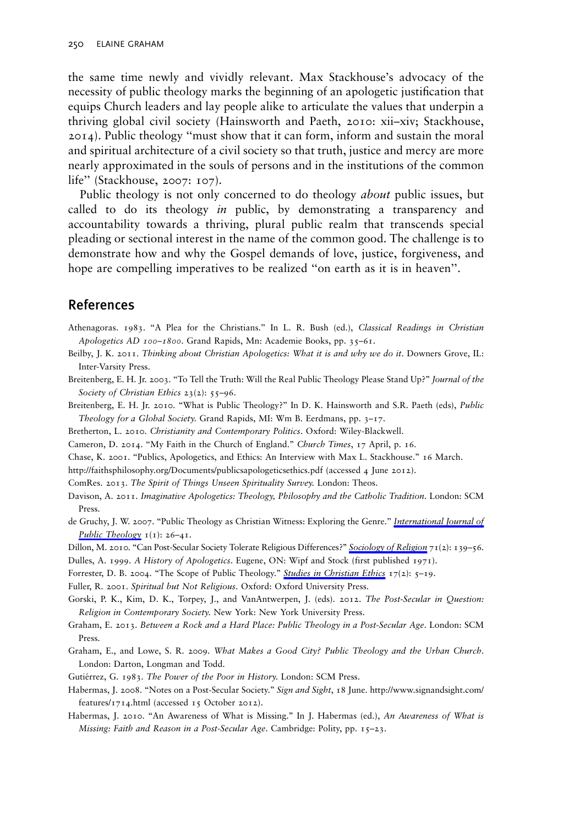the same time newly and vividly relevant. Max Stackhouse's advocacy of the necessity of public theology marks the beginning of an apologetic justification that equips Church leaders and lay people alike to articulate the values that underpin a thriving global civil society (Hainsworth and Paeth, 2010: xii–xiv; Stackhouse, 2014). Public theology ''must show that it can form, inform and sustain the moral and spiritual architecture of a civil society so that truth, justice and mercy are more nearly approximated in the souls of persons and in the institutions of the common life'' (Stackhouse, 2007: 107).

Public theology is not only concerned to do theology *about* public issues, but called to do its theology *in* public, by demonstrating a transparency and accountability towards a thriving, plural public realm that transcends special pleading or sectional interest in the name of the common good. The challenge is to demonstrate how and why the Gospel demands of love, justice, forgiveness, and hope are compelling imperatives to be realized ''on earth as it is in heaven''.

# References

Athenagoras. 1983. "A Plea for the Christians." In L. R. Bush (ed.), Classical Readings in Christian Apologetics AD 100–1800. Grand Rapids, Mn: Academie Books, pp. 35–61.

- Beilby, J. K. 2011. Thinking about Christian Apologetics: What it is and why we do it. Downers Grove, IL: Inter-Varsity Press.
- Breitenberg, E. H. Jr. 2003. ''To Tell the Truth: Will the Real Public Theology Please Stand Up?'' Journal of the Society of Christian Ethics 23(2): 55-96.
- Breitenberg, E. H. Jr. 2010. "What is Public Theology?" In D. K. Hainsworth and S.R. Paeth (eds), Public Theology for a Global Society. Grand Rapids, MI: Wm B. Eerdmans, pp. 3–17.
- Bretherton, L. 2010. Christianity and Contemporary Politics. Oxford: Wiley-Blackwell.
- Cameron, D. 2014. "My Faith in the Church of England." Church Times, 17 April, p. 16.
- Chase, K. 2001. ''Publics, Apologetics, and Ethics: An Interview with Max L. Stackhouse.'' 16 March.
- http://faithsphilosophy.org/Documents/publicsapologeticsethics.pdf (accessed 4 June 2012).
- ComRes. 2013. The Spirit of Things Unseen Spirituality Survey. London: Theos.
- Davison, A. 2011. Imaginative Apologetics: Theology, Philosophy and the Catholic Tradition. London: SCM Press.
- de Gruchy, J. W. 2007. "Public Theology as Christian Witness: Exploring the Genre." *[International Journal of](http://www.maneyonline.com/action/showLinks?crossref=10.1163%2F156973207X194466)* [Public Theology](http://www.maneyonline.com/action/showLinks?crossref=10.1163%2F156973207X194466)  $I(I)$ : 26-41.
- Dillon, M. 2010. "Can Post-Secular Society Tolerate Religious Differences?" [Sociology of Religion](http://www.maneyonline.com/action/showLinks?crossref=10.1093%2Fsocrel%2Fsrq024) 71(2): 139–56. Dulles, A. 1999. A History of Apologetics. Eugene, ON: Wipf and Stock (first published 1971).
- Forrester, D. B. 2004. "The Scope of Public Theology." [Studies in Christian Ethics](http://www.maneyonline.com/action/showLinks?crossref=10.1177%2F095394680401700209) 17(2): 5-19.

Fuller, R. 2001. Spiritual but Not Religious. Oxford: Oxford University Press.

- Gorski, P. K., Kim, D. K., Torpey, J., and VanAntwerpen, J. (eds). 2012. The Post-Secular in Question: Religion in Contemporary Society. New York: New York University Press.
- Graham, E. 2013. Between a Rock and a Hard Place: Public Theology in a Post-Secular Age. London: SCM Press.
- Graham, E., and Lowe, S. R. 2009. What Makes a Good City? Public Theology and the Urban Church. London: Darton, Longman and Todd.
- Gutiérrez, G. 1983. The Power of the Poor in History. London: SCM Press.
- Habermas, J. 2008. "Notes on a Post-Secular Society." Sign and Sight, 18 June. http://www.signandsight.com/ features/1714.html (accessed 15 October 2012).
- Habermas, J. 2010. "An Awareness of What is Missing." In J. Habermas (ed.), An Awareness of What is Missing: Faith and Reason in a Post-Secular Age. Cambridge: Polity, pp. 15–23.